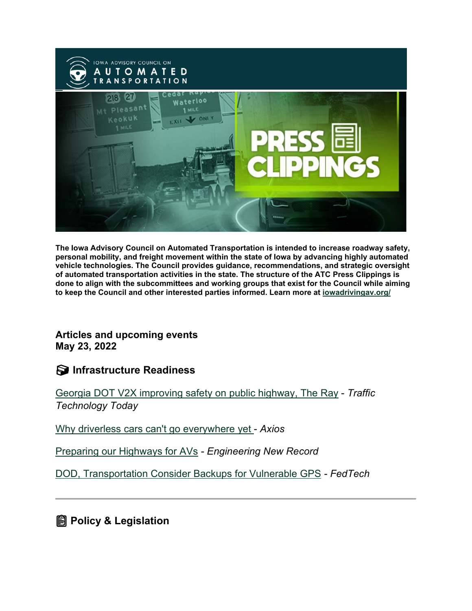

**The Iowa Advisory Council on Automated Transportation is intended to increase roadway safety, personal mobility, and freight movement within the state of Iowa by advancing highly automated vehicle technologies. The Council provides guidance, recommendations, and strategic oversight of automated transportation activities in the state. The structure of the ATC Press Clippings is done to align with the subcommittees and working groups that exist for the Council while aiming to keep the Council and other interested parties informed. Learn more at [iowadrivingav.org/](https://iowadrivingav.org/?utm_medium=email&utm_source=govdelivery)**

**Articles and upcoming events May 23, 2022**

**Infrastructure Readiness**

[Georgia DOT V2X improving safety on public highway, The Ray](https://www.traffictechnologytoday.com/videos/video-georgia-dot-v2x-improving-safety-on-public-highway-the-ray.html?utm_medium=email&utm_source=govdelivery) - *Traffic Technology Today*

[Why driverless cars can't go everywhere yet -](https://www.axios.com/2022/05/18/driverless-cars-robotaxis-waymo-automated-vehicles?stream=science&utm_campaign=newsletter_axioswhatsnext&utm_medium=email&utm_source=govdelivery) *Axios*

[Preparing our Highways for AVs](https://www.enr.com/articles/54135-preparing-our-highways-for-avs?utm_medium=email&utm_source=govdelivery) *- Engineering New Record*

[DOD, Transportation Consider Backups for Vulnerable GPS](https://fedtechmagazine.com/article/2022/05/dod-transportation-consider-backups-vulnerable-gps?utm_medium=email&utm_source=govdelivery) *- FedTech*

**<u></u>@** Policy & Legislation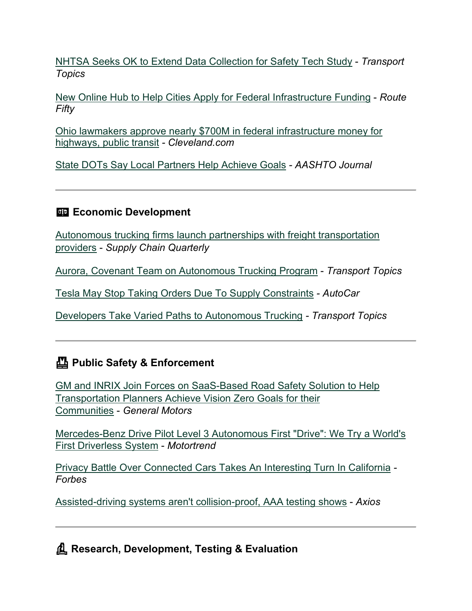[NHTSA Seeks OK to Extend Data Collection for Safety Tech Study](https://www.ttnews.com/articles/nhtsa-seeks-ok-extend-data-collection-safety-tech-study?utm_medium=email&utm_source=govdelivery) - *Transport Topics*

[New Online Hub to Help Cities Apply for Federal Infrastructure Funding](https://www.route-fifty.com/infrastructure/2022/05/nonprofit-infrastructure-hub-support-cities-applying-federal-recovery-funding/367084/?utm_medium=email&utm_source=govdelivery) - *Route Fifty*

[Ohio lawmakers approve nearly \\$700M in federal infrastructure money for](https://www.cleveland.com/news/2022/05/ohio-lawmakers-approve-nearly-700m-in-federal-infrastructure-money-for-highways-public-transit.html?utm_medium=email&utm_source=govdelivery)  [highways, public transit](https://www.cleveland.com/news/2022/05/ohio-lawmakers-approve-nearly-700m-in-federal-infrastructure-money-for-highways-public-transit.html?utm_medium=email&utm_source=govdelivery) *- Cleveland.com*

[State DOTs Say Local Partners Help Achieve Goals](https://aashtojournal.org/2022/05/13/state-dots-say-local-partnerships-help-achieve-shared-goals/?utm_medium=email&utm_source=govdelivery) *- AASHTO Journal*

## **Example 2** Economic Development

[Autonomous trucking firms launch partnerships with freight transportation](https://www.supplychainquarterly.com/articles/6582-autonomous-trucking-firms-launch-partnerships-with-freight-transportation-providers?utm_medium=email&utm_source=govdelivery)  [providers](https://www.supplychainquarterly.com/articles/6582-autonomous-trucking-firms-launch-partnerships-with-freight-transportation-providers?utm_medium=email&utm_source=govdelivery) - *Supply Chain Quarterly*

[Aurora, Covenant Team on Autonomous Trucking Program](https://www.ttnews.com/articles/aurora-covenant-team-autonomous-trucking-program?utm_medium=email&utm_source=govdelivery) - *Transport Topics*

[Tesla May Stop Taking Orders Due To Supply Constraints](https://www.autocar.co.uk/car-news/business-tech%2C-development-and-manufacturing/tesla-could-stop-taking-orders-over-supply?utm_medium=email&utm_source=govdelivery) *- AutoCar*

[Developers Take Varied Paths to Autonomous Trucking](https://www.ttnews.com/articles/developers-take-varied-paths-autonomous-trucking?utm_medium=email&utm_source=govdelivery) *- Transport Topics*

## **Public Safety & Enforcement**

[GM and INRIX Join Forces on SaaS-Based Road Safety Solution to Help](https://media.gm.com/media/us/en/gm/news.detail.html/content/Pages/news/us/en/2022/may/0504-inrix.html?utm_medium=email&utm_source=govdelivery)  [Transportation Planners Achieve Vision Zero Goals for their](https://media.gm.com/media/us/en/gm/news.detail.html/content/Pages/news/us/en/2022/may/0504-inrix.html?utm_medium=email&utm_source=govdelivery)  [Communities](https://media.gm.com/media/us/en/gm/news.detail.html/content/Pages/news/us/en/2022/may/0504-inrix.html?utm_medium=email&utm_source=govdelivery) - *General Motors*

[Mercedes-Benz Drive Pilot Level 3 Autonomous First "Drive": We Try a World's](https://www.motortrend.com/news/mercedes-benz-drive-pilot-eqs-autonomous-driverless-first-drive-review/?utm_medium=email&utm_source=govdelivery)  [First Driverless System](https://www.motortrend.com/news/mercedes-benz-drive-pilot-eqs-autonomous-driverless-first-drive-review/?utm_medium=email&utm_source=govdelivery) - *Motortrend*

[Privacy Battle Over Connected Cars Takes An Interesting Turn In California](https://www.forbes.com/sites/stevetengler/2022/05/17/privacy-battle-over-connected-cars-takes-an-interesting-turn-in-california/?utm_medium=email&utm_source=govdelivery) *- Forbes*

[Assisted-driving systems aren't collision-proof, AAA testing shows](https://www.axios.com/2022/05/18/assisted-driving-systems-arent-collision-proof-aaa-testing-shows?utm_medium=email&utm_source=govdelivery) - *Axios*

**Research, Development, Testing & Evaluation**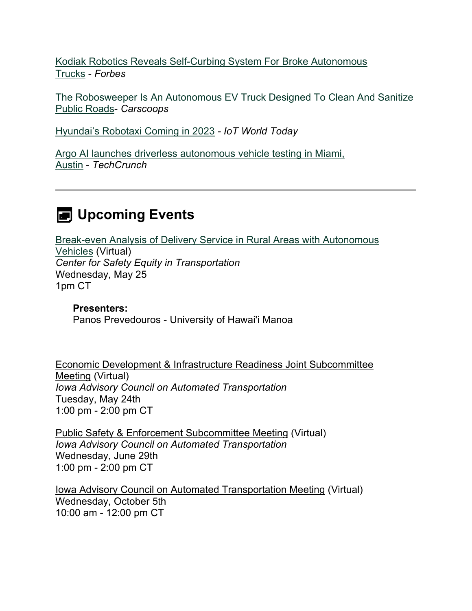[Kodiak Robotics Reveals Self-Curbing System For Broke Autonomous](https://www.forbes.com/sites/edgarsten/2022/05/12/kodiak-robotics-reveals-self-curbing-system-for-broke-trucks/?sh=202b842d55bb&utm_medium=email&utm_source=govdelivery)  [Trucks](https://www.forbes.com/sites/edgarsten/2022/05/12/kodiak-robotics-reveals-self-curbing-system-for-broke-trucks/?sh=202b842d55bb&utm_medium=email&utm_source=govdelivery) - *Forbes*

[The Robosweeper Is An Autonomous EV Truck Designed To Clean And Sanitize](https://www.carscoops.com/2022/05/the-robosweeper-is-an-autonomous-ev-truck-designed-to-clean-and-sanitize-public-roads/?utm_medium=email&utm_source=govdelivery)  [Public Roads-](https://www.carscoops.com/2022/05/the-robosweeper-is-an-autonomous-ev-truck-designed-to-clean-and-sanitize-public-roads/?utm_medium=email&utm_source=govdelivery) *Carscoops*

[Hyundai's Robotaxi Coming in 2023](https://www.iotworldtoday.com/2022/05/12/hyundais-robotaxi-coming-to-america-in-2023/?utm_medium=email&utm_source=govdelivery) *- IoT World Today*

[Argo AI launches driverless autonomous vehicle testing in Miami,](https://techcrunch.com/2022/05/17/argo-ai-driverless-autonomous-vehicles-miami-austin/?utm_medium=email&utm_source=govdelivery)  [Austin](https://techcrunch.com/2022/05/17/argo-ai-driverless-autonomous-vehicles-miami-austin/?utm_medium=email&utm_source=govdelivery) - *TechCrunch*

## **E** Upcoming Events

[Break-even Analysis of Delivery Service in Rural Areas with Autonomous](https://alaska.zoom.us/j/85457873515?pwd=QnZlNUpnMzlrMC8xcUJKM2hYU1Jvdz09&utm_medium=email&utm_source=govdelivery)  [Vehicles](https://alaska.zoom.us/j/85457873515?pwd=QnZlNUpnMzlrMC8xcUJKM2hYU1Jvdz09&utm_medium=email&utm_source=govdelivery) (Virtual) *Center for Safety Equity in Transportation* Wednesday, May 25 1pm CT

**Presenters:** Panos Prevedouros - University of Hawai'i Manoa

Economic Development & Infrastructure Readiness Joint Subcommittee Meeting (Virtual) *Iowa Advisory Council on Automated Transportation* Tuesday, May 24th 1:00 pm - 2:00 pm CT

Public Safety & Enforcement Subcommittee Meeting (Virtual) *Iowa Advisory Council on Automated Transportation* Wednesday, June 29th 1:00 pm - 2:00 pm CT

Iowa Advisory Council on Automated Transportation Meeting (Virtual) Wednesday, October 5th 10:00 am - 12:00 pm CT